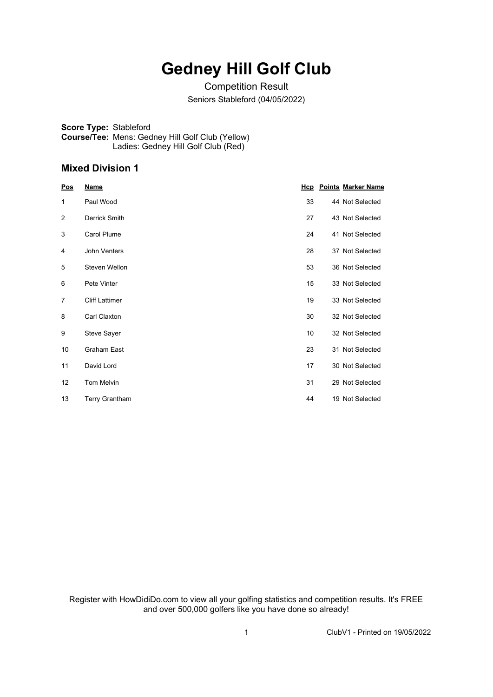## **Gedney Hill Golf Club**

Competition Result Seniors Stableford (04/05/2022)

**Score Type:** Stableford **Course/Tee:** Mens: Gedney Hill Golf Club (Yellow) Ladies: Gedney Hill Golf Club (Red)

## **Mixed Division 1**

| Pos | <u>Name</u>           |    | <b>Hcp</b> Points Marker Name |
|-----|-----------------------|----|-------------------------------|
| 1   | Paul Wood             | 33 | 44 Not Selected               |
| 2   | Derrick Smith         | 27 | 43 Not Selected               |
| 3   | Carol Plume           | 24 | 41 Not Selected               |
| 4   | John Venters          | 28 | 37 Not Selected               |
| 5   | Steven Wellon         | 53 | 36 Not Selected               |
| 6   | Pete Vinter           | 15 | 33 Not Selected               |
| 7   | <b>Cliff Lattimer</b> | 19 | 33 Not Selected               |
| 8   | Carl Claxton          | 30 | 32 Not Selected               |
| 9   | <b>Steve Sayer</b>    | 10 | 32 Not Selected               |
| 10  | Graham East           | 23 | 31 Not Selected               |
| 11  | David Lord            | 17 | 30 Not Selected               |
| 12  | <b>Tom Melvin</b>     | 31 | 29 Not Selected               |
| 13  | <b>Terry Grantham</b> | 44 | 19 Not Selected               |

Register with HowDidiDo.com to view all your golfing statistics and competition results. It's FREE and over 500,000 golfers like you have done so already!